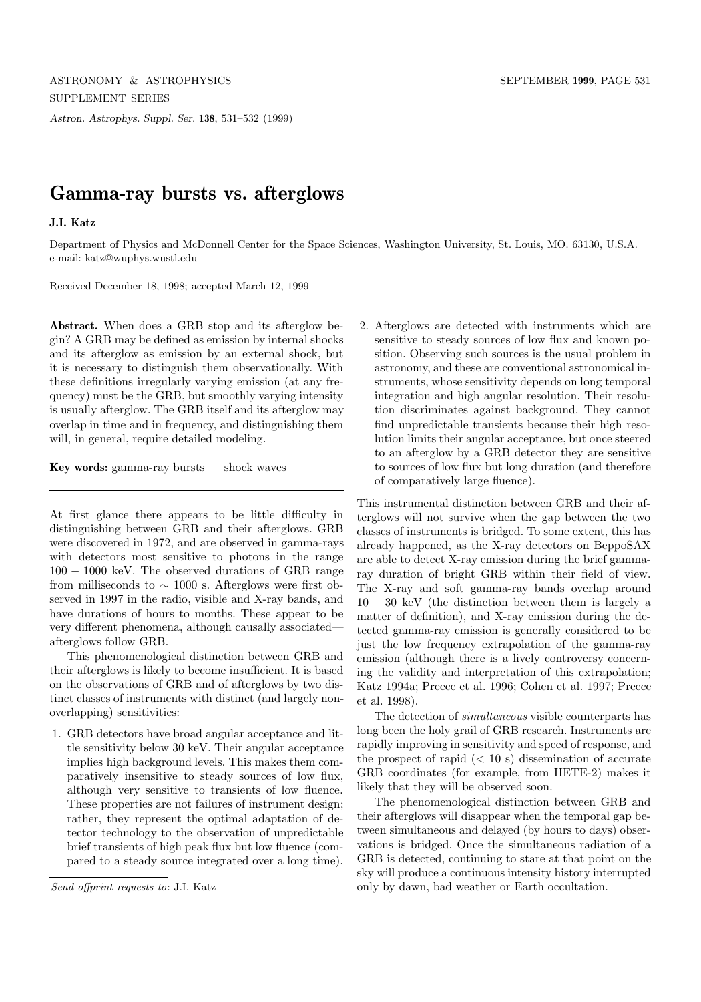*Astron. Astrophys. Suppl. Ser.* **138**, 531–532 (1999)

## **Gamma-ray bursts vs. afterglows**

## **J.I. Katz**

Department of Physics and McDonnell Center for the Space Sciences, Washington University, St. Louis, MO. 63130, U.S.A. e-mail: katz@wuphys.wustl.edu

Received December 18, 1998; accepted March 12, 1999

**Abstract.** When does a GRB stop and its afterglow begin? A GRB may be defined as emission by internal shocks and its afterglow as emission by an external shock, but it is necessary to distinguish them observationally. With these definitions irregularly varying emission (at any frequency) must be the GRB, but smoothly varying intensity is usually afterglow. The GRB itself and its afterglow may overlap in time and in frequency, and distinguishing them will, in general, require detailed modeling.

**Key words:** gamma-ray bursts — shock waves

At first glance there appears to be little difficulty in distinguishing between GRB and their afterglows. GRB were discovered in 1972, and are observed in gamma-rays with detectors most sensitive to photons in the range 100 − 1000 keV. The observed durations of GRB range from milliseconds to  $\sim$  1000 s. Afterglows were first observed in 1997 in the radio, visible and X-ray bands, and have durations of hours to months. These appear to be very different phenomena, although causally associated afterglows follow GRB.

This phenomenological distinction between GRB and their afterglows is likely to become insufficient. It is based on the observations of GRB and of afterglows by two distinct classes of instruments with distinct (and largely nonoverlapping) sensitivities:

1. GRB detectors have broad angular acceptance and little sensitivity below 30 keV. Their angular acceptance implies high background levels. This makes them comparatively insensitive to steady sources of low flux, although very sensitive to transients of low fluence. These properties are not failures of instrument design; rather, they represent the optimal adaptation of detector technology to the observation of unpredictable brief transients of high peak flux but low fluence (compared to a steady source integrated over a long time).

2. Afterglows are detected with instruments which are sensitive to steady sources of low flux and known position. Observing such sources is the usual problem in astronomy, and these are conventional astronomical instruments, whose sensitivity depends on long temporal integration and high angular resolution. Their resolution discriminates against background. They cannot find unpredictable transients because their high resolution limits their angular acceptance, but once steered to an afterglow by a GRB detector they are sensitive to sources of low flux but long duration (and therefore of comparatively large fluence).

This instrumental distinction between GRB and their afterglows will not survive when the gap between the two classes of instruments is bridged. To some extent, this has already happened, as the X-ray detectors on BeppoSAX are able to detect X-ray emission during the brief gammaray duration of bright GRB within their field of view. The X-ray and soft gamma-ray bands overlap around  $10 - 30$  keV (the distinction between them is largely a matter of definition), and X-ray emission during the detected gamma-ray emission is generally considered to be just the low frequency extrapolation of the gamma-ray emission (although there is a lively controversy concerning the validity and interpretation of this extrapolation; Katz 1994a; Preece et al. 1996; Cohen et al. 1997; Preece et al. 1998).

The detection of simultaneous visible counterparts has long been the holy grail of GRB research. Instruments are rapidly improving in sensitivity and speed of response, and the prospect of rapid  $(< 10 \text{ s})$  dissemination of accurate GRB coordinates (for example, from HETE-2) makes it likely that they will be observed soon.

The phenomenological distinction between GRB and their afterglows will disappear when the temporal gap between simultaneous and delayed (by hours to days) observations is bridged. Once the simultaneous radiation of a GRB is detected, continuing to stare at that point on the sky will produce a continuous intensity history interrupted only by dawn, bad weather or Earth occultation.

Send offprint requests to: J.I. Katz